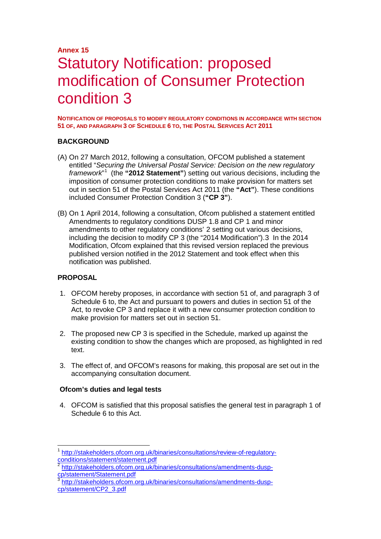## **Annex 15** Statutory Notification: proposed modification of Consumer Protection condition 3

**NOTIFICATION OF PROPOSALS TO MODIFY REGULATORY CONDITIONS IN ACCORDANCE WITH SECTION 51 OF, AND PARAGRAPH 3 OF SCHEDULE 6 TO, THE POSTAL SERVICES ACT 2011**

#### **BACKGROUND**

- (A) On 27 March 2012, following a consultation, OFCOM published a statement entitled "*Securing the Universal Postal Service: Decision on the new regulatory framework*" [1](#page-0-0) (the **"2012 Statement"**) setting out various decisions, including the imposition of consumer protection conditions to make provision for matters set out in section 51 of the Postal Services Act 2011 (the **"Act"**). These conditions included Consumer Protection Condition 3 (**"CP 3"**).
- (B) On 1 April 2014, following a consultation, Ofcom published a statement entitled Amendments to regulatory conditions DUSP 1.8 and CP 1 and minor amendments to other regulatory conditions' [2](#page-0-1) setting out various decisions, including the decision to modify CP 3 (the "2014 Modification").[3](#page-0-2) In the 2014 Modification, Ofcom explained that this revised version replaced the previous published version notified in the 2012 Statement and took effect when this notification was published.

#### **PROPOSAL**

- 1. OFCOM hereby proposes, in accordance with section 51 of, and paragraph 3 of Schedule 6 to, the Act and pursuant to powers and duties in section 51 of the Act, to revoke CP 3 and replace it with a new consumer protection condition to make provision for matters set out in section 51.
- 2. The proposed new CP 3 is specified in the Schedule, marked up against the existing condition to show the changes which are proposed, as highlighted in red text.
- 3. The effect of, and OFCOM's reasons for making, this proposal are set out in the accompanying consultation document.

#### **Ofcom's duties and legal tests**

4. OFCOM is satisfied that this proposal satisfies the general test in paragraph 1 of Schedule 6 to this Act.

<span id="page-0-0"></span><sup>&</sup>lt;sup>1</sup> [http://stakeholders.ofcom.org.uk/binaries/consultations/review-of-regulatory](http://stakeholders.ofcom.org.uk/binaries/consultations/review-of-regulatory-conditions/statement/statement.pdf)[conditions/statement/statement.pdf](http://stakeholders.ofcom.org.uk/binaries/consultations/review-of-regulatory-conditions/statement/statement.pdf)

<span id="page-0-1"></span><sup>&</sup>lt;sup>2</sup> http://stakeholders.ofcom.org.uk/binaries/consultations/amendments-dusp-<br>cp/statement/Statement.pdf

<span id="page-0-2"></span>[http://stakeholders.ofcom.org.uk/binaries/consultations/amendments-dusp](http://stakeholders.ofcom.org.uk/binaries/consultations/amendments-dusp-cp/statement/CP2_3.pdf)[cp/statement/CP2\\_3.pdf](http://stakeholders.ofcom.org.uk/binaries/consultations/amendments-dusp-cp/statement/CP2_3.pdf)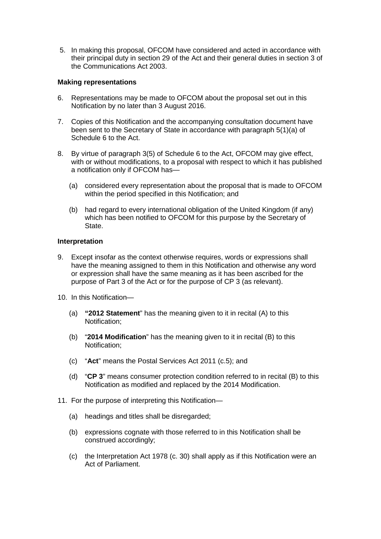5. In making this proposal, OFCOM have considered and acted in accordance with their principal duty in section 29 of the Act and their general duties in section 3 of the Communications Act 2003.

#### **Making representations**

- 6. Representations may be made to OFCOM about the proposal set out in this Notification by no later than 3 August 2016.
- 7. Copies of this Notification and the accompanying consultation document have been sent to the Secretary of State in accordance with paragraph 5(1)(a) of Schedule 6 to the Act.
- 8. By virtue of paragraph 3(5) of Schedule 6 to the Act, OFCOM may give effect, with or without modifications, to a proposal with respect to which it has published a notification only if OFCOM has—
	- (a) considered every representation about the proposal that is made to OFCOM within the period specified in this Notification; and
	- (b) had regard to every international obligation of the United Kingdom (if any) which has been notified to OFCOM for this purpose by the Secretary of State.

#### **Interpretation**

- 9. Except insofar as the context otherwise requires, words or expressions shall have the meaning assigned to them in this Notification and otherwise any word or expression shall have the same meaning as it has been ascribed for the purpose of Part 3 of the Act or for the purpose of CP 3 (as relevant).
- 10. In this Notification—
	- (a) **"2012 Statement**" has the meaning given to it in recital (A) to this Notification;
	- (b) "**2014 Modification**" has the meaning given to it in recital (B) to this Notification;
	- (c) "**Act**" means the Postal Services Act 2011 (c.5); and
	- (d) "**CP 3**" means consumer protection condition referred to in recital (B) to this Notification as modified and replaced by the 2014 Modification.
- 11. For the purpose of interpreting this Notification—
	- (a) headings and titles shall be disregarded;
	- (b) expressions cognate with those referred to in this Notification shall be construed accordingly;
	- (c) the Interpretation Act 1978 (c. 30) shall apply as if this Notification were an Act of Parliament.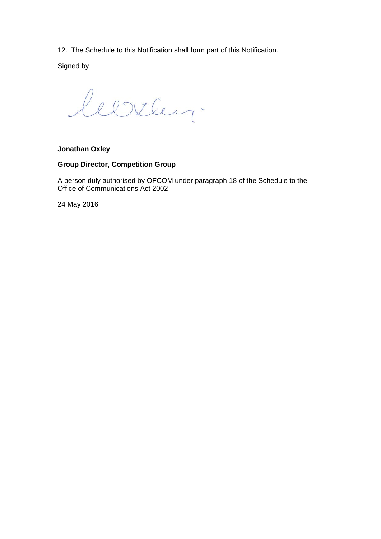12. The Schedule to this Notification shall form part of this Notification.

Signed by

leerley.

#### **Jonathan Oxley**

#### **Group Director, Competition Group**

A person duly authorised by OFCOM under paragraph 18 of the Schedule to the Office of Communications Act 2002

24 May 2016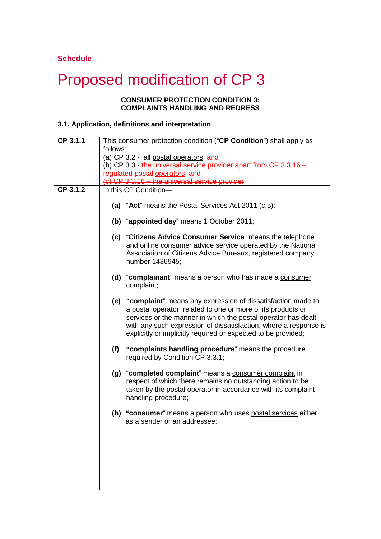#### **Schedule**

# Proposed modification of CP 3

#### **CONSUMER PROTECTION CONDITION 3: COMPLAINTS HANDLING AND REDRESS**

### **3.1. Application, definitions and interpretation**

| CP 3.1.1 | This consumer protection condition ("CP Condition") shall apply as                                                                                                                                                                                                                                                                    |  |
|----------|---------------------------------------------------------------------------------------------------------------------------------------------------------------------------------------------------------------------------------------------------------------------------------------------------------------------------------------|--|
|          | follows:                                                                                                                                                                                                                                                                                                                              |  |
|          | (a) CP 3.2 - all postal operators; and<br>(b) CP 3.3 - the universal service provider-apart from CP 3.3.16 -                                                                                                                                                                                                                          |  |
|          | regulated postal operators; and                                                                                                                                                                                                                                                                                                       |  |
|          | (c) CP 3.3.16 - the universal service provider                                                                                                                                                                                                                                                                                        |  |
| CP 3.1.2 | In this CP Condition-                                                                                                                                                                                                                                                                                                                 |  |
|          |                                                                                                                                                                                                                                                                                                                                       |  |
|          | (a) "Act" means the Postal Services Act 2011 (c.5);                                                                                                                                                                                                                                                                                   |  |
|          | (b) "appointed day" means 1 October 2011;                                                                                                                                                                                                                                                                                             |  |
|          | (c) "Citizens Advice Consumer Service" means the telephone<br>and online consumer advice service operated by the National<br>Association of Citizens Advice Bureaux, registered company<br>number 1436945;                                                                                                                            |  |
|          | (d) "complainant" means a person who has made a consumer<br>complaint;                                                                                                                                                                                                                                                                |  |
|          | (e) "complaint" means any expression of dissatisfaction made to<br>a postal operator, related to one or more of its products or<br>services or the manner in which the postal operator has dealt<br>with any such expression of dissatisfaction, where a response is<br>explicitly or implicitly required or expected to be provided; |  |
|          | "complaints handling procedure" means the procedure<br>(f)<br>required by Condition CP 3.3.1;                                                                                                                                                                                                                                         |  |
|          | (g) "completed complaint" means a consumer complaint in<br>respect of which there remains no outstanding action to be<br>taken by the postal operator in accordance with its complaint<br>handling procedure;                                                                                                                         |  |
|          | (h) "consumer" means a person who uses postal services either<br>as a sender or an addressee;                                                                                                                                                                                                                                         |  |
|          |                                                                                                                                                                                                                                                                                                                                       |  |
|          |                                                                                                                                                                                                                                                                                                                                       |  |
|          |                                                                                                                                                                                                                                                                                                                                       |  |
|          |                                                                                                                                                                                                                                                                                                                                       |  |
|          |                                                                                                                                                                                                                                                                                                                                       |  |
|          |                                                                                                                                                                                                                                                                                                                                       |  |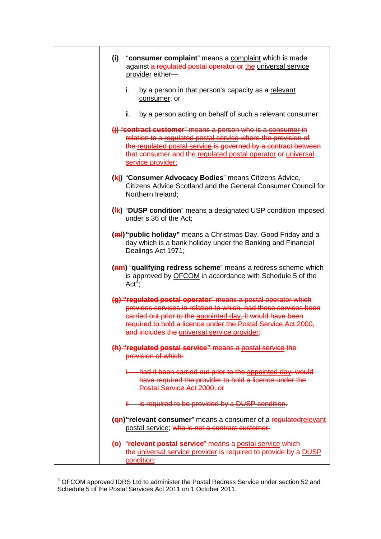| "consumer complaint" means a complaint which is made<br>(i)<br>against a regulated postal operator or the universal service<br>provider either-                                                                                                                                                                 |
|-----------------------------------------------------------------------------------------------------------------------------------------------------------------------------------------------------------------------------------------------------------------------------------------------------------------|
| i.<br>by a person in that person's capacity as a relevant<br>consumer; or                                                                                                                                                                                                                                       |
| by a person acting on behalf of such a relevant consumer;<br>ii.                                                                                                                                                                                                                                                |
| (i) "contract customer" means a person who is a consumer in<br>relation to a regulated postal service where the provision of<br>the regulated postal service is governed by a contract between<br>that consumer and the regulated postal operator or universal<br>service provider;                             |
| (kj) "Consumer Advocacy Bodies" means Citizens Advice,<br>Citizens Advice Scotland and the General Consumer Council for<br>Northern Ireland;                                                                                                                                                                    |
| (Ik) "DUSP condition" means a designated USP condition imposed<br>under s.36 of the Act;                                                                                                                                                                                                                        |
| (ml) "public holiday" means a Christmas Day, Good Friday and a<br>day which is a bank holiday under the Banking and Financial<br>Dealings Act 1971;                                                                                                                                                             |
| (am) "qualifying redress scheme" means a redress scheme which<br>is approved by OFCOM in accordance with Schedule 5 of the<br>$Act^4$ :                                                                                                                                                                         |
| (g) "regulated postal operator" means a postal operator which<br>provides services in relation to which, had these services been<br>carried out prior to the appointed day, it would have been<br>required to hold a licence under the Postal Service Act 2000,<br>and includes the universal service provider; |
| (h) "regulated postal service" means a postal service the<br>provision of which:                                                                                                                                                                                                                                |
| had it been carried out prior to the appointed day, would<br>have required the provider to hold a licence under the<br>Postal Service Act 2000; or                                                                                                                                                              |
| is required to be provided by a DUSP condition.                                                                                                                                                                                                                                                                 |
| (en) "relevant consumer" means a consumer of a regulatedrelevant<br>postal service; who is not a contract customer;                                                                                                                                                                                             |
| (o) "relevant postal service" means a postal service which<br>the universal service provider is required to provide by a DUSP<br>condition;                                                                                                                                                                     |

<span id="page-4-0"></span> <sup>4</sup> OFCOM approved IDRS Ltd to administer the Postal Redress Service under section 52 and Schedule 5 of the Postal Services Act 2011 on 1 October 2011.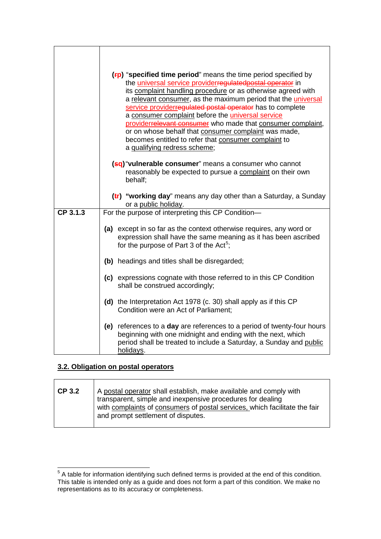|            | $(Fp)$ "specified time period" means the time period specified by<br>the <i>universal service providerregulatedpostal operator</i> in<br>its complaint handling procedure or as otherwise agreed with<br>a relevant consumer, as the maximum period that the <i>universal</i><br>service providerregulated postal operator has to complete<br>a consumer complaint before the universal service<br>providerrelevant consumer who made that consumer complaint,<br>or on whose behalf that consumer complaint was made,<br>becomes entitled to refer that consumer complaint to<br>a qualifying redress scheme; |  |
|------------|----------------------------------------------------------------------------------------------------------------------------------------------------------------------------------------------------------------------------------------------------------------------------------------------------------------------------------------------------------------------------------------------------------------------------------------------------------------------------------------------------------------------------------------------------------------------------------------------------------------|--|
|            | (sq) "vulnerable consumer" means a consumer who cannot<br>reasonably be expected to pursue a complaint on their own<br>behalf;                                                                                                                                                                                                                                                                                                                                                                                                                                                                                 |  |
|            | $(t)$ "working day" means any day other than a Saturday, a Sunday<br>or a public holiday.                                                                                                                                                                                                                                                                                                                                                                                                                                                                                                                      |  |
| $CP$ 3.1.3 | For the purpose of interpreting this CP Condition-                                                                                                                                                                                                                                                                                                                                                                                                                                                                                                                                                             |  |
|            | (a) except in so far as the context otherwise requires, any word or<br>expression shall have the same meaning as it has been ascribed<br>for the purpose of Part 3 of the Act <sup>5</sup> ;                                                                                                                                                                                                                                                                                                                                                                                                                   |  |
|            | (b) headings and titles shall be disregarded;                                                                                                                                                                                                                                                                                                                                                                                                                                                                                                                                                                  |  |
|            | (c) expressions cognate with those referred to in this CP Condition<br>shall be construed accordingly;                                                                                                                                                                                                                                                                                                                                                                                                                                                                                                         |  |
|            | (d) the Interpretation Act 1978 (c. 30) shall apply as if this CP<br>Condition were an Act of Parliament;                                                                                                                                                                                                                                                                                                                                                                                                                                                                                                      |  |
|            | (e) references to a day are references to a period of twenty-four hours<br>beginning with one midnight and ending with the next, which<br>period shall be treated to include a Saturday, a Sunday and public<br>holidays.                                                                                                                                                                                                                                                                                                                                                                                      |  |

## **3.2. Obligation on postal operators**

| <b>CP 3.2</b> | A postal operator shall establish, make available and comply with<br>transparent, simple and inexpensive procedures for dealing<br>with complaints of consumers of postal services, which facilitate the fair<br>and prompt settlement of disputes. |
|---------------|-----------------------------------------------------------------------------------------------------------------------------------------------------------------------------------------------------------------------------------------------------|
|               |                                                                                                                                                                                                                                                     |

<span id="page-5-0"></span><sup>5</sup> A table for information identifying such defined terms is provided at the end of this condition. This table is intended only as a guide and does not form a part of this condition. We make no representations as to its accuracy or completeness.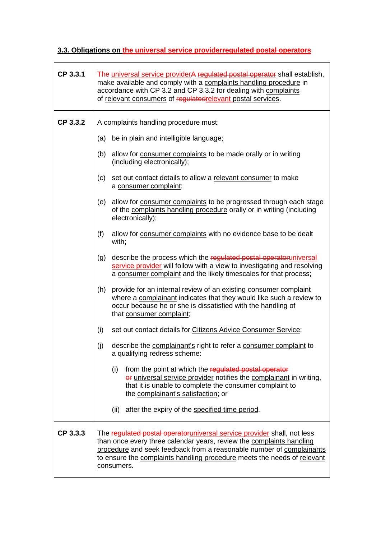## **3.3. Obligations on the universal service providerregulated postal operators**

| CP 3.3.1 | The universal service providerA regulated postal operator shall establish,<br>make available and comply with a complaints handling procedure in<br>accordance with CP 3.2 and CP 3.3.2 for dealing with complaints<br>of relevant consumers of regulated relevant postal services.                               |  |
|----------|------------------------------------------------------------------------------------------------------------------------------------------------------------------------------------------------------------------------------------------------------------------------------------------------------------------|--|
| CP 3.3.2 | A complaints handling procedure must:                                                                                                                                                                                                                                                                            |  |
|          | (a) be in plain and intelligible language;                                                                                                                                                                                                                                                                       |  |
|          | allow for consumer complaints to be made orally or in writing<br>(b)<br>(including electronically);                                                                                                                                                                                                              |  |
|          | set out contact details to allow a relevant consumer to make<br>(c)<br>a consumer complaint;                                                                                                                                                                                                                     |  |
|          | allow for consumer complaints to be progressed through each stage<br>(e)<br>of the complaints handling procedure orally or in writing (including<br>electronically);                                                                                                                                             |  |
|          | allow for consumer complaints with no evidence base to be dealt<br>(f)<br>with;                                                                                                                                                                                                                                  |  |
|          | describe the process which the regulated postal operatoruniversal<br>(g)<br>service provider will follow with a view to investigating and resolving<br>a consumer complaint and the likely timescales for that process;                                                                                          |  |
|          | provide for an internal review of an existing consumer complaint<br>(h)<br>where a complainant indicates that they would like such a review to<br>occur because he or she is dissatisfied with the handling of<br>that consumer complaint;                                                                       |  |
|          | set out contact details for Citizens Advice Consumer Service;<br>(i)                                                                                                                                                                                                                                             |  |
|          | (j)<br>describe the complainant's right to refer a consumer complaint to<br>a qualifying redress scheme:                                                                                                                                                                                                         |  |
|          | (i)<br>from the point at which the regulated postal operator<br>or universal service provider notifies the complainant in writing,<br>that it is unable to complete the consumer complaint to<br>the complainant's satisfaction; or                                                                              |  |
|          | after the expiry of the specified time period.<br>(ii)                                                                                                                                                                                                                                                           |  |
| CP 3.3.3 | The regulated postal operatoruniversal service provider shall, not less<br>than once every three calendar years, review the complaints handling<br>procedure and seek feedback from a reasonable number of complainants<br>to ensure the complaints handling procedure meets the needs of relevant<br>consumers. |  |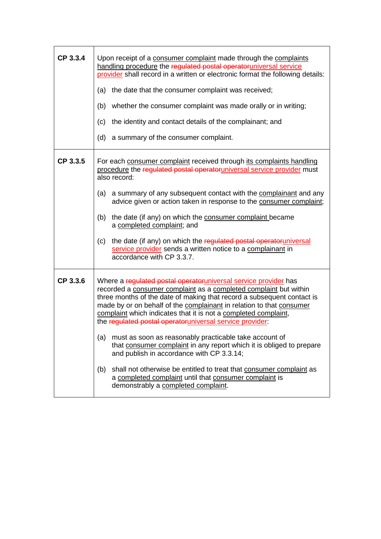| CP 3.3.4 | Upon receipt of a consumer complaint made through the complaints<br>handling procedure the regulated postal operatoruniversal service<br>provider shall record in a written or electronic format the following details:<br>(a) the date that the consumer complaint was received;<br>(b) whether the consumer complaint was made orally or in writing;<br>(c)<br>the identity and contact details of the complainant; and<br>a summary of the consumer complaint.<br>(d)                                                                                                                                                                                                                                                                                                                    |
|----------|---------------------------------------------------------------------------------------------------------------------------------------------------------------------------------------------------------------------------------------------------------------------------------------------------------------------------------------------------------------------------------------------------------------------------------------------------------------------------------------------------------------------------------------------------------------------------------------------------------------------------------------------------------------------------------------------------------------------------------------------------------------------------------------------|
| CP 3.3.5 | For each consumer complaint received through its complaints handling<br>procedure the regulated postal operatoruniversal service provider must<br>also record:<br>(a) a summary of any subsequent contact with the complainant and any<br>advice given or action taken in response to the consumer complaint;<br>the date (if any) on which the consumer complaint became<br>(b)<br>a completed complaint; and<br>the date (if any) on which the regulated postal operatoruniversal<br>(c)<br>service provider sends a written notice to a complainant in<br>accordance with CP 3.3.7.                                                                                                                                                                                                      |
| CP 3.3.6 | Where a regulated postal operatoruniversal service provider has<br>recorded a consumer complaint as a completed complaint but within<br>three months of the date of making that record a subsequent contact is<br>made by or on behalf of the complainant in relation to that consumer<br>complaint which indicates that it is not a completed complaint,<br>the regulated postal operator universal service provider:<br>must as soon as reasonably practicable take account of<br>(a)<br>that consumer complaint in any report which it is obliged to prepare<br>and publish in accordance with CP 3.3.14;<br>shall not otherwise be entitled to treat that consumer complaint as<br>(b)<br>a completed complaint until that consumer complaint is<br>demonstrably a completed complaint. |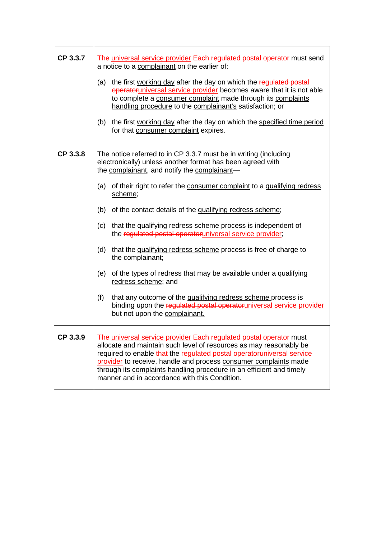| CP 3.3.7 | The universal service provider Each regulated postal operator must send<br>a notice to a complainant on the earlier of:<br>the first working day after the day on which the regulated postal<br>(a)<br>operatoruniversal service provider becomes aware that it is not able<br>to complete a consumer complaint made through its complaints<br>handling procedure to the complainant's satisfaction; or<br>the first working day after the day on which the specified time period<br>(b)<br>for that consumer complaint expires.                                                                                                                                                                                                                                                                                                                              |
|----------|---------------------------------------------------------------------------------------------------------------------------------------------------------------------------------------------------------------------------------------------------------------------------------------------------------------------------------------------------------------------------------------------------------------------------------------------------------------------------------------------------------------------------------------------------------------------------------------------------------------------------------------------------------------------------------------------------------------------------------------------------------------------------------------------------------------------------------------------------------------|
| CP 3.3.8 | The notice referred to in CP 3.3.7 must be in writing (including<br>electronically) unless another format has been agreed with<br>the complainant, and notify the complainant-<br>of their right to refer the consumer complaint to a qualifying redress<br>(a)<br>scheme;<br>(b) of the contact details of the qualifying redress scheme;<br>that the qualifying redress scheme process is independent of<br>(c)<br>the regulated postal operatoruniversal service provider;<br>(d)<br>that the qualifying redress scheme process is free of charge to<br>the complainant;<br>of the types of redress that may be available under a qualifying<br>(e)<br>redress scheme; and<br>(f)<br>that any outcome of the qualifying redress scheme process is<br>binding upon the regulated postal operatoruniversal service provider<br>but not upon the complainant. |
| CP 3.3.9 | The universal service provider Each regulated postal operator must<br>allocate and maintain such level of resources as may reasonably be<br>required to enable that the regulated postal operatoruniversal service<br>provider to receive, handle and process consumer complaints made<br>through its complaints handling procedure in an efficient and timely<br>manner and in accordance with this Condition.                                                                                                                                                                                                                                                                                                                                                                                                                                               |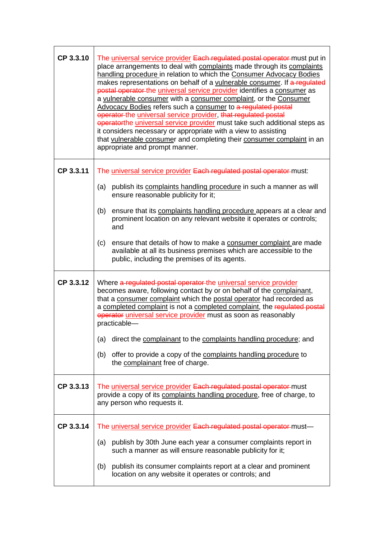| CP 3.3.10 | The universal service provider Each regulated postal operator must put in<br>place arrangements to deal with complaints made through its complaints<br>handling procedure in relation to which the Consumer Advocacy Bodies<br>makes representations on behalf of a vulnerable consumer. If a regulated<br>postal operator the universal service provider identifies a consumer as<br>a vulnerable consumer with a consumer complaint, or the Consumer<br>Advocacy Bodies refers such a consumer to a regulated postal<br>operator-the universal service provider, that regulated postal<br>operatorthe universal service provider must take such additional steps as<br>it considers necessary or appropriate with a view to assisting<br>that vulnerable consumer and completing their consumer complaint in an<br>appropriate and prompt manner. |
|-----------|-----------------------------------------------------------------------------------------------------------------------------------------------------------------------------------------------------------------------------------------------------------------------------------------------------------------------------------------------------------------------------------------------------------------------------------------------------------------------------------------------------------------------------------------------------------------------------------------------------------------------------------------------------------------------------------------------------------------------------------------------------------------------------------------------------------------------------------------------------|
| CP 3.3.11 | The universal service provider Each regulated postal operator must:<br>publish its complaints handling procedure in such a manner as will<br>(a)<br>ensure reasonable publicity for it;<br>ensure that its complaints handling procedure appears at a clear and<br>(b)                                                                                                                                                                                                                                                                                                                                                                                                                                                                                                                                                                              |
|           | prominent location on any relevant website it operates or controls;<br>and                                                                                                                                                                                                                                                                                                                                                                                                                                                                                                                                                                                                                                                                                                                                                                          |
|           | (c)<br>ensure that details of how to make a consumer complaint are made<br>available at all its business premises which are accessible to the<br>public, including the premises of its agents.                                                                                                                                                                                                                                                                                                                                                                                                                                                                                                                                                                                                                                                      |
| CP 3.3.12 | Where a regulated postal operator the universal service provider<br>becomes aware, following contact by or on behalf of the complainant,<br>that a consumer complaint which the postal operator had recorded as<br>a completed complaint is not a completed complaint, the regulated postal<br>operator universal service provider must as soon as reasonably<br>practicable-                                                                                                                                                                                                                                                                                                                                                                                                                                                                       |
|           | direct the complainant to the complaints handling procedure; and<br>(a)                                                                                                                                                                                                                                                                                                                                                                                                                                                                                                                                                                                                                                                                                                                                                                             |
|           | offer to provide a copy of the complaints handling procedure to<br>(b)<br>the complainant free of charge.                                                                                                                                                                                                                                                                                                                                                                                                                                                                                                                                                                                                                                                                                                                                           |
| CP 3.3.13 | The universal service provider Each regulated postal operator must<br>provide a copy of its complaints handling procedure, free of charge, to<br>any person who requests it.                                                                                                                                                                                                                                                                                                                                                                                                                                                                                                                                                                                                                                                                        |
| CP 3.3.14 | The universal service provider Each regulated postal operator must-                                                                                                                                                                                                                                                                                                                                                                                                                                                                                                                                                                                                                                                                                                                                                                                 |
|           | publish by 30th June each year a consumer complaints report in<br>(a)<br>such a manner as will ensure reasonable publicity for it;                                                                                                                                                                                                                                                                                                                                                                                                                                                                                                                                                                                                                                                                                                                  |
|           | publish its consumer complaints report at a clear and prominent<br>(b)<br>location on any website it operates or controls; and                                                                                                                                                                                                                                                                                                                                                                                                                                                                                                                                                                                                                                                                                                                      |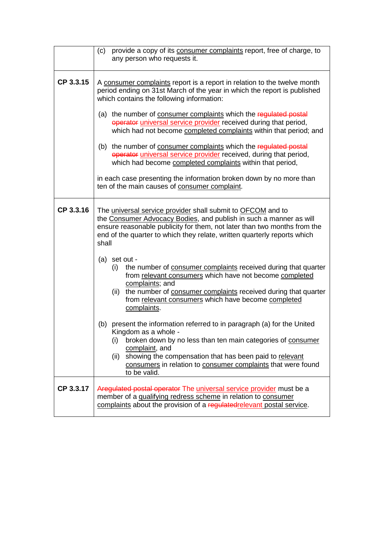|           | (c) provide a copy of its consumer complaints report, free of charge, to<br>any person who requests it.                                                                                                                                                                                                                                    |  |
|-----------|--------------------------------------------------------------------------------------------------------------------------------------------------------------------------------------------------------------------------------------------------------------------------------------------------------------------------------------------|--|
| CP 3.3.15 | A consumer complaints report is a report in relation to the twelve month<br>period ending on 31st March of the year in which the report is published<br>which contains the following information:                                                                                                                                          |  |
|           | (a) the number of consumer complaints which the regulated postal<br>operator universal service provider received during that period,<br>which had not become completed complaints within that period; and                                                                                                                                  |  |
|           | (b) the number of consumer complaints which the regulated postal<br>operator universal service provider received, during that period,<br>which had become completed complaints within that period,                                                                                                                                         |  |
|           | in each case presenting the information broken down by no more than<br>ten of the main causes of consumer complaint.                                                                                                                                                                                                                       |  |
| CP 3.3.16 | The universal service provider shall submit to OFCOM and to<br>the Consumer Advocacy Bodies, and publish in such a manner as will<br>ensure reasonable publicity for them, not later than two months from the<br>end of the quarter to which they relate, written quarterly reports which<br>shall                                         |  |
|           | (a) set out -<br>the number of consumer complaints received during that quarter<br>(i)<br>from relevant consumers which have not become completed<br>complaints; and<br>the number of consumer complaints received during that quarter<br>(ii)<br>from relevant consumers which have become completed<br>complaints.                       |  |
|           | (b) present the information referred to in paragraph (a) for the United<br>Kingdom as a whole -<br>broken down by no less than ten main categories of consumer<br>(i)<br>complaint, and<br>showing the compensation that has been paid to relevant<br>(ii)<br>consumers in relation to consumer complaints that were found<br>to be valid. |  |
| CP 3.3.17 | Aregulated postal operator The universal service provider must be a<br>member of a qualifying redress scheme in relation to consumer<br>complaints about the provision of a regulated relevant postal service.                                                                                                                             |  |